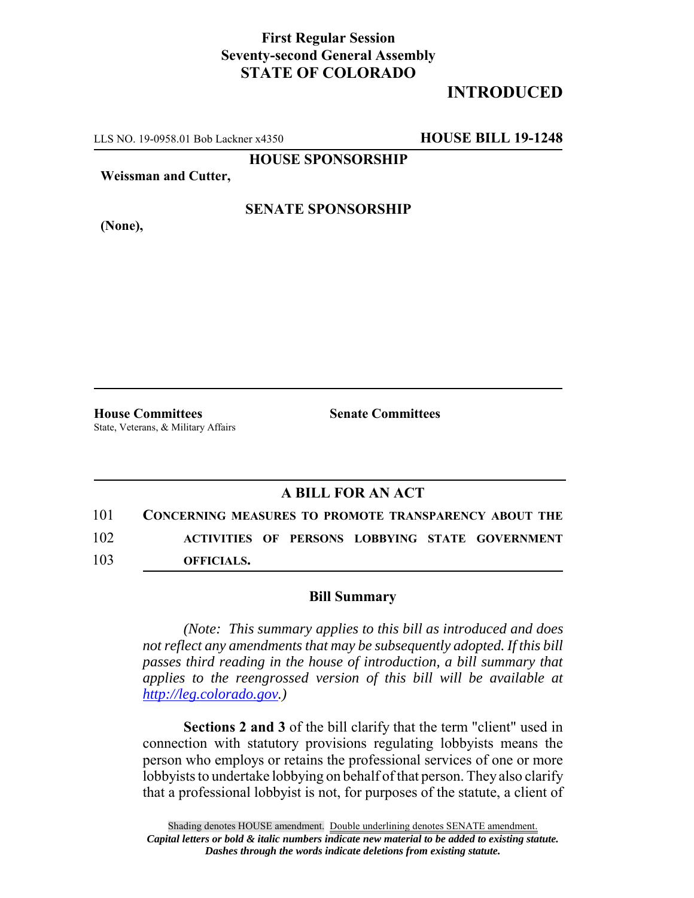## **First Regular Session Seventy-second General Assembly STATE OF COLORADO**

# **INTRODUCED**

LLS NO. 19-0958.01 Bob Lackner x4350 **HOUSE BILL 19-1248**

**HOUSE SPONSORSHIP**

**Weissman and Cutter,**

**(None),**

### **SENATE SPONSORSHIP**

State, Veterans, & Military Affairs

**House Committees Senate Committees** 

## **A BILL FOR AN ACT**

101 **CONCERNING MEASURES TO PROMOTE TRANSPARENCY ABOUT THE** 102 **ACTIVITIES OF PERSONS LOBBYING STATE GOVERNMENT** 103 **OFFICIALS.**

#### **Bill Summary**

*(Note: This summary applies to this bill as introduced and does not reflect any amendments that may be subsequently adopted. If this bill passes third reading in the house of introduction, a bill summary that applies to the reengrossed version of this bill will be available at http://leg.colorado.gov.)*

**Sections 2 and 3** of the bill clarify that the term "client" used in connection with statutory provisions regulating lobbyists means the person who employs or retains the professional services of one or more lobbyists to undertake lobbying on behalf of that person. They also clarify that a professional lobbyist is not, for purposes of the statute, a client of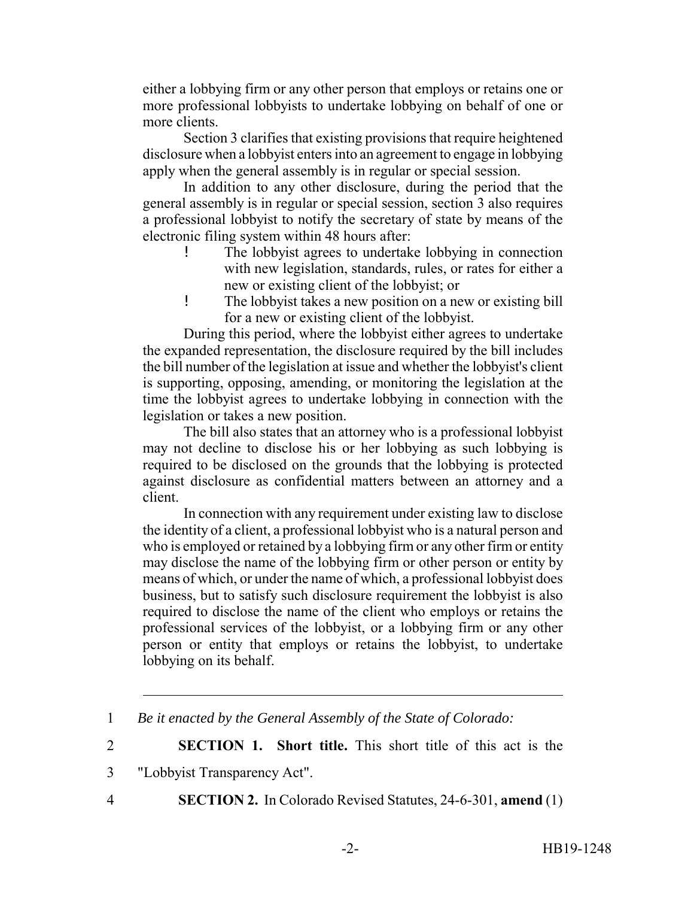either a lobbying firm or any other person that employs or retains one or more professional lobbyists to undertake lobbying on behalf of one or more clients.

Section 3 clarifies that existing provisions that require heightened disclosure when a lobbyist enters into an agreement to engage in lobbying apply when the general assembly is in regular or special session.

In addition to any other disclosure, during the period that the general assembly is in regular or special session, section 3 also requires a professional lobbyist to notify the secretary of state by means of the electronic filing system within 48 hours after:

- The lobbyist agrees to undertake lobbying in connection with new legislation, standards, rules, or rates for either a new or existing client of the lobbyist; or
- ! The lobbyist takes a new position on a new or existing bill for a new or existing client of the lobbyist.

During this period, where the lobbyist either agrees to undertake the expanded representation, the disclosure required by the bill includes the bill number of the legislation at issue and whether the lobbyist's client is supporting, opposing, amending, or monitoring the legislation at the time the lobbyist agrees to undertake lobbying in connection with the legislation or takes a new position.

The bill also states that an attorney who is a professional lobbyist may not decline to disclose his or her lobbying as such lobbying is required to be disclosed on the grounds that the lobbying is protected against disclosure as confidential matters between an attorney and a client.

In connection with any requirement under existing law to disclose the identity of a client, a professional lobbyist who is a natural person and who is employed or retained by a lobbying firm or any other firm or entity may disclose the name of the lobbying firm or other person or entity by means of which, or under the name of which, a professional lobbyist does business, but to satisfy such disclosure requirement the lobbyist is also required to disclose the name of the client who employs or retains the professional services of the lobbyist, or a lobbying firm or any other person or entity that employs or retains the lobbyist, to undertake lobbying on its behalf.

2 **SECTION 1. Short title.** This short title of this act is the

- 3 "Lobbyist Transparency Act".
- 
- 4 **SECTION 2.** In Colorado Revised Statutes, 24-6-301, **amend** (1)

<sup>1</sup> *Be it enacted by the General Assembly of the State of Colorado:*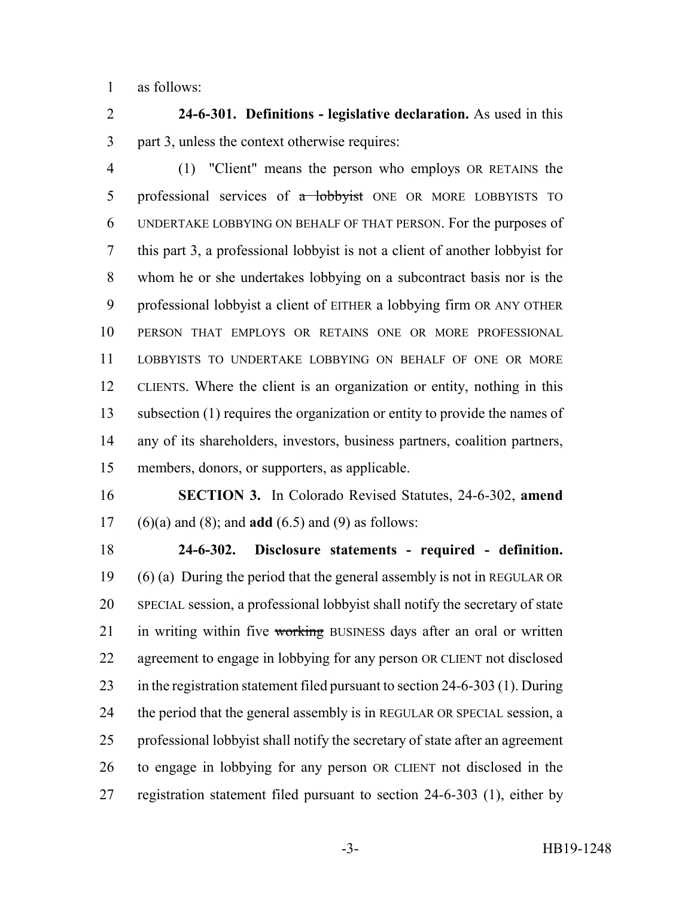as follows:

 **24-6-301. Definitions - legislative declaration.** As used in this part 3, unless the context otherwise requires:

 (1) "Client" means the person who employs OR RETAINS the 5 professional services of a lobbyist ONE OR MORE LOBBYISTS TO UNDERTAKE LOBBYING ON BEHALF OF THAT PERSON. For the purposes of this part 3, a professional lobbyist is not a client of another lobbyist for whom he or she undertakes lobbying on a subcontract basis nor is the professional lobbyist a client of EITHER a lobbying firm OR ANY OTHER PERSON THAT EMPLOYS OR RETAINS ONE OR MORE PROFESSIONAL LOBBYISTS TO UNDERTAKE LOBBYING ON BEHALF OF ONE OR MORE CLIENTS. Where the client is an organization or entity, nothing in this subsection (1) requires the organization or entity to provide the names of any of its shareholders, investors, business partners, coalition partners, members, donors, or supporters, as applicable.

 **SECTION 3.** In Colorado Revised Statutes, 24-6-302, **amend** (6)(a) and (8); and **add** (6.5) and (9) as follows:

 **24-6-302. Disclosure statements - required - definition.** (6) (a) During the period that the general assembly is not in REGULAR OR SPECIAL session, a professional lobbyist shall notify the secretary of state 21 in writing within five working BUSINESS days after an oral or written agreement to engage in lobbying for any person OR CLIENT not disclosed in the registration statement filed pursuant to section 24-6-303 (1). During 24 the period that the general assembly is in REGULAR OR SPECIAL session, a professional lobbyist shall notify the secretary of state after an agreement to engage in lobbying for any person OR CLIENT not disclosed in the registration statement filed pursuant to section 24-6-303 (1), either by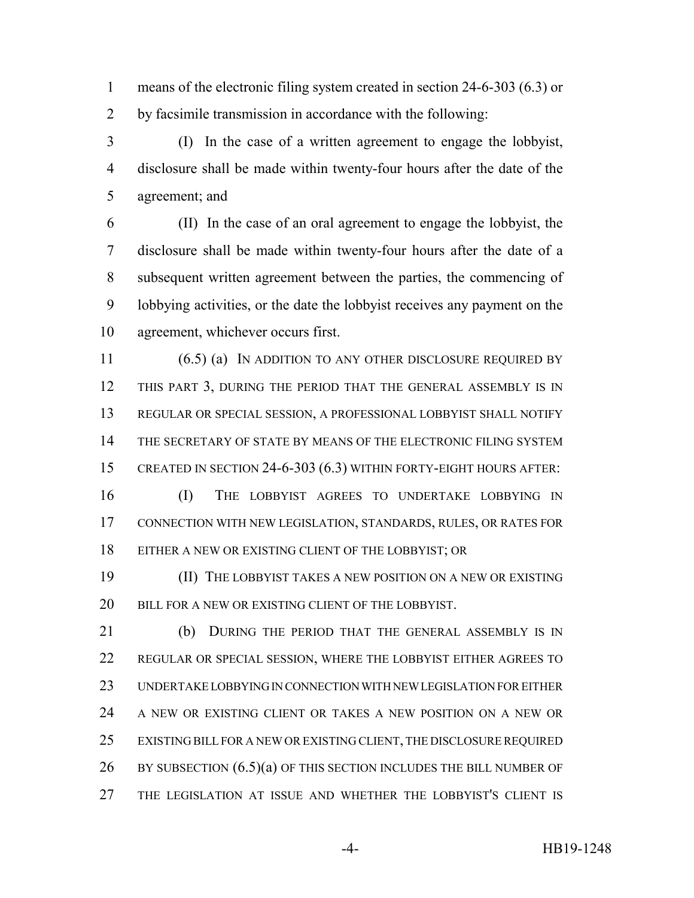means of the electronic filing system created in section 24-6-303 (6.3) or by facsimile transmission in accordance with the following:

 (I) In the case of a written agreement to engage the lobbyist, disclosure shall be made within twenty-four hours after the date of the agreement; and

 (II) In the case of an oral agreement to engage the lobbyist, the disclosure shall be made within twenty-four hours after the date of a subsequent written agreement between the parties, the commencing of lobbying activities, or the date the lobbyist receives any payment on the agreement, whichever occurs first.

11 (6.5) (a) IN ADDITION TO ANY OTHER DISCLOSURE REQUIRED BY THIS PART 3, DURING THE PERIOD THAT THE GENERAL ASSEMBLY IS IN REGULAR OR SPECIAL SESSION, A PROFESSIONAL LOBBYIST SHALL NOTIFY THE SECRETARY OF STATE BY MEANS OF THE ELECTRONIC FILING SYSTEM CREATED IN SECTION 24-6-303 (6.3) WITHIN FORTY-EIGHT HOURS AFTER:

 (I) THE LOBBYIST AGREES TO UNDERTAKE LOBBYING IN CONNECTION WITH NEW LEGISLATION, STANDARDS, RULES, OR RATES FOR EITHER A NEW OR EXISTING CLIENT OF THE LOBBYIST; OR

 (II) THE LOBBYIST TAKES A NEW POSITION ON A NEW OR EXISTING 20 BILL FOR A NEW OR EXISTING CLIENT OF THE LOBBYIST.

 (b) DURING THE PERIOD THAT THE GENERAL ASSEMBLY IS IN REGULAR OR SPECIAL SESSION, WHERE THE LOBBYIST EITHER AGREES TO UNDERTAKE LOBBYING IN CONNECTION WITH NEW LEGISLATION FOR EITHER A NEW OR EXISTING CLIENT OR TAKES A NEW POSITION ON A NEW OR EXISTING BILL FOR A NEW OR EXISTING CLIENT, THE DISCLOSURE REQUIRED 26 BY SUBSECTION  $(6.5)(a)$  OF THIS SECTION INCLUDES THE BILL NUMBER OF THE LEGISLATION AT ISSUE AND WHETHER THE LOBBYIST'S CLIENT IS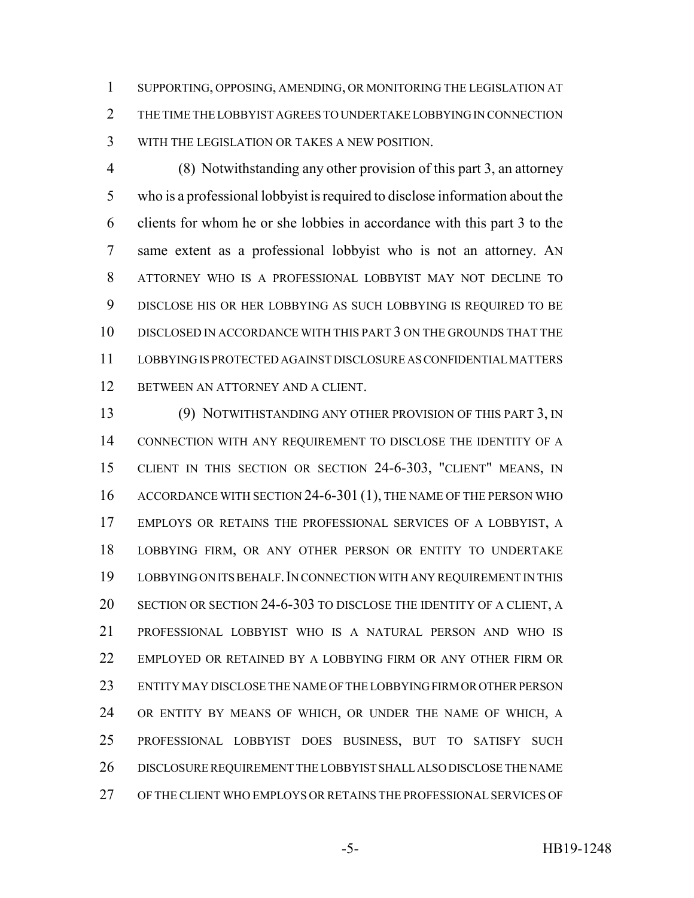SUPPORTING, OPPOSING, AMENDING, OR MONITORING THE LEGISLATION AT THE TIME THE LOBBYIST AGREES TO UNDERTAKE LOBBYING IN CONNECTION WITH THE LEGISLATION OR TAKES A NEW POSITION.

 (8) Notwithstanding any other provision of this part 3, an attorney who is a professional lobbyist is required to disclose information about the clients for whom he or she lobbies in accordance with this part 3 to the same extent as a professional lobbyist who is not an attorney. AN ATTORNEY WHO IS A PROFESSIONAL LOBBYIST MAY NOT DECLINE TO DISCLOSE HIS OR HER LOBBYING AS SUCH LOBBYING IS REQUIRED TO BE DISCLOSED IN ACCORDANCE WITH THIS PART 3 ON THE GROUNDS THAT THE LOBBYING IS PROTECTED AGAINST DISCLOSURE AS CONFIDENTIAL MATTERS BETWEEN AN ATTORNEY AND A CLIENT.

 (9) NOTWITHSTANDING ANY OTHER PROVISION OF THIS PART 3, IN CONNECTION WITH ANY REQUIREMENT TO DISCLOSE THE IDENTITY OF A CLIENT IN THIS SECTION OR SECTION 24-6-303, "CLIENT" MEANS, IN 16 ACCORDANCE WITH SECTION 24-6-301 (1), THE NAME OF THE PERSON WHO EMPLOYS OR RETAINS THE PROFESSIONAL SERVICES OF A LOBBYIST, A LOBBYING FIRM, OR ANY OTHER PERSON OR ENTITY TO UNDERTAKE LOBBYING ON ITS BEHALF.IN CONNECTION WITH ANY REQUIREMENT IN THIS SECTION OR SECTION 24-6-303 TO DISCLOSE THE IDENTITY OF A CLIENT, A PROFESSIONAL LOBBYIST WHO IS A NATURAL PERSON AND WHO IS EMPLOYED OR RETAINED BY A LOBBYING FIRM OR ANY OTHER FIRM OR ENTITY MAY DISCLOSE THE NAME OF THE LOBBYING FIRM OR OTHER PERSON OR ENTITY BY MEANS OF WHICH, OR UNDER THE NAME OF WHICH, A PROFESSIONAL LOBBYIST DOES BUSINESS, BUT TO SATISFY SUCH DISCLOSURE REQUIREMENT THE LOBBYIST SHALL ALSO DISCLOSE THE NAME OF THE CLIENT WHO EMPLOYS OR RETAINS THE PROFESSIONAL SERVICES OF